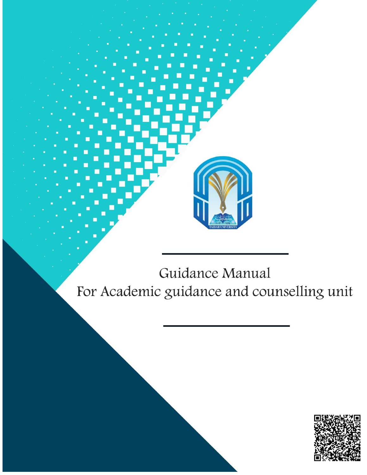

# Guidance Manual For Academic guidance and counselling unit

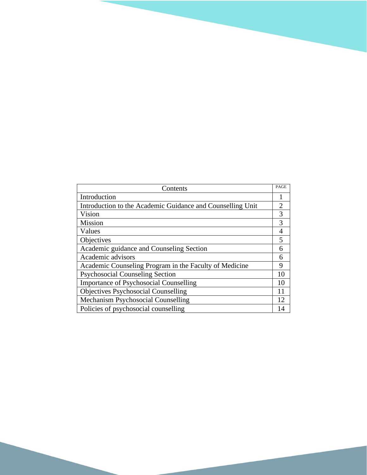| Contents                                                   | PAGE           |
|------------------------------------------------------------|----------------|
| Introduction                                               |                |
| Introduction to the Academic Guidance and Counselling Unit | $\overline{2}$ |
| Vision                                                     | 3              |
| <b>Mission</b>                                             | 3              |
| Values                                                     | 4              |
| Objectives                                                 | 5              |
| Academic guidance and Counseling Section                   | 6              |
| Academic advisors                                          | 6              |
| Academic Counseling Program in the Faculty of Medicine     | 9              |
| <b>Psychosocial Counseling Section</b>                     | 10             |
| <b>Importance of Psychosocial Counselling</b>              | 10             |
| <b>Objectives Psychosocial Counselling</b>                 | 11             |
| Mechanism Psychosocial Counselling                         | 12             |
| Policies of psychosocial counselling                       | 14             |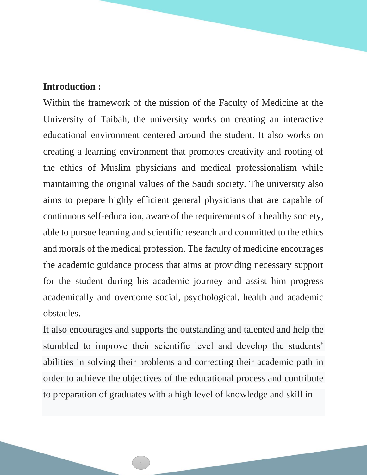#### **Introduction :**

Within the framework of the mission of the Faculty of Medicine at the University of Taibah, the university works on creating an interactive educational environment centered around the student. It also works on creating a learning environment that promotes creativity and rooting of the ethics of Muslim physicians and medical professionalism while maintaining the original values of the Saudi society. The university also aims to prepare highly efficient general physicians that are capable of continuous self-education, aware of the requirements of a healthy society, able to pursue learning and scientific research and committed to the ethics and morals of the medical profession. The faculty of medicine encourages the academic guidance process that aims at providing necessary support for the student during his academic journey and assist him progress academically and overcome social, psychological, health and academic obstacles.

It also encourages and supports the outstanding and talented and help the stumbled to improve their scientific level and develop the students' abilities in solving their problems and correcting their academic path in order to achieve the objectives of the educational process and contribute to preparation of graduates with a high level of knowledge and skill in

1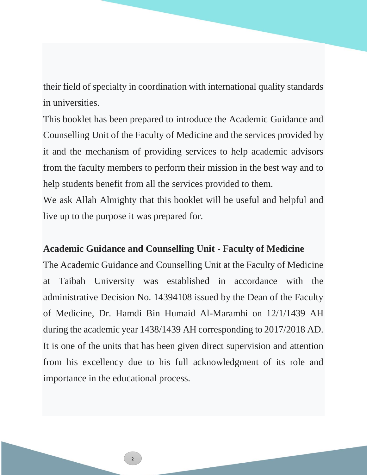their field of specialty in coordination with international quality standards in universities.

This booklet has been prepared to introduce the Academic Guidance and Counselling Unit of the Faculty of Medicine and the services provided by it and the mechanism of providing services to help academic advisors from the faculty members to perform their mission in the best way and to help students benefit from all the services provided to them.

We ask Allah Almighty that this booklet will be useful and helpful and live up to the purpose it was prepared for.

#### **Academic Guidance and Counselling Unit - Faculty of Medicine**

The Academic Guidance and Counselling Unit at the Faculty of Medicine at Taibah University was established in accordance with the administrative Decision No. 14394108 issued by the Dean of the Faculty of Medicine, Dr. Hamdi Bin Humaid Al-Maramhi on 12/1/1439 AH during the academic year 1438/1439 AH corresponding to 2017/2018 AD. It is one of the units that has been given direct supervision and attention from his excellency due to his full acknowledgment of its role and importance in the educational process.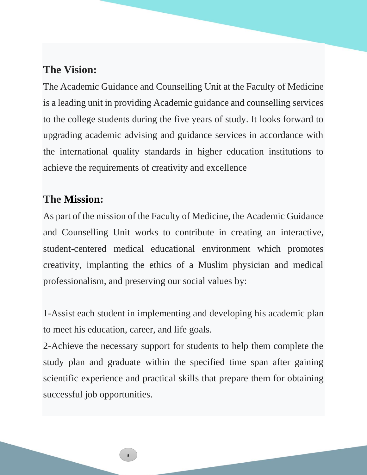# **The Vision:**

The Academic Guidance and Counselling Unit at the Faculty of Medicine is a leading unit in providing Academic guidance and counselling services to the college students during the five years of study. It looks forward to upgrading academic advising and guidance services in accordance with the international quality standards in higher education institutions to achieve the requirements of creativity and excellence

# **The Mission:**

As part of the mission of the Faculty of Medicine, the Academic Guidance and Counselling Unit works to contribute in creating an interactive, student-centered medical educational environment which promotes creativity, implanting the ethics of a Muslim physician and medical professionalism, and preserving our social values by:

1-Assist each student in implementing and developing his academic plan to meet his education, career, and life goals.

2-Achieve the necessary support for students to help them complete the study plan and graduate within the specified time span after gaining scientific experience and practical skills that prepare them for obtaining successful job opportunities.

3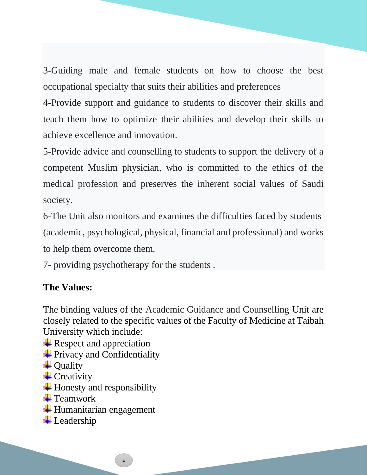3-Guiding male and female students on how to choose the best occupational specialty that suits their abilities and preferences

4-Provide support and guidance to students to discover their skills and teach them how to optimize their abilities and develop their skills to achieve excellence and innovation.

5-Provide advice and counselling to students to support the delivery of a competent Muslim physician, who is committed to the ethics of the medical profession and preserves the inherent social values of Saudi society.

6-The Unit also monitors and examines the difficulties faced by students (academic, psychological, physical, financial and professional) and works to help them overcome them.

7- providing psychotherapy for the students .

## **The Values:**

The binding values of the Academic Guidance and Counselling Unit are closely related to the specific values of the Faculty of Medicine at Taibah University which include:

- $\triangle$  Respect and appreciation
- $\frac{1}{\sqrt{2}}$  Privacy and Confidentiality
- $\overline{\phantom{a}}$  Quality
- $\overline{\phantom{a}}$  Creativity
- $\ddot{\text{H}}$  Honesty and responsibility
- $\blacksquare$  Teamwork
- $\ddot{\text{H}}$  Humanitarian engagement
- $\ddot{\phantom{1}}$  Leadership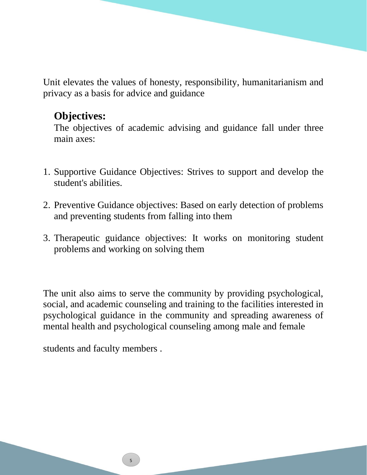Unit elevates the values of honesty, responsibility, humanitarianism and privacy as a basis for advice and guidance

# **Objectives:**

The objectives of academic advising and guidance fall under three main axes:

- 1. Supportive Guidance Objectives: Strives to support and develop the student's abilities.
- 2. Preventive Guidance objectives: Based on early detection of problems and preventing students from falling into them
- 3. Therapeutic guidance objectives: It works on monitoring student problems and working on solving them

The unit also aims to serve the community by providing psychological, social, and academic counseling and training to the facilities interested in psychological guidance in the community and spreading awareness of mental health and psychological counseling among male and female

students and faculty members .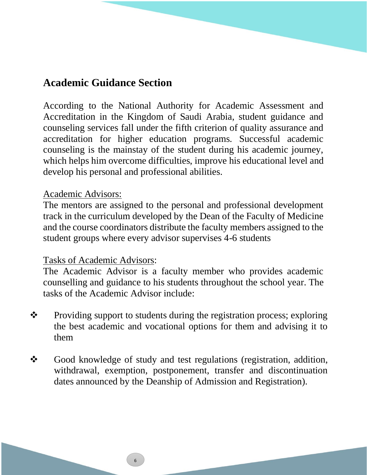# **Academic Guidance Section**

According to the National Authority for Academic Assessment and Accreditation in the Kingdom of Saudi Arabia, student guidance and counseling services fall under the fifth criterion of quality assurance and accreditation for higher education programs. Successful academic counseling is the mainstay of the student during his academic journey, which helps him overcome difficulties, improve his educational level and develop his personal and professional abilities.

#### Academic Advisors:

The mentors are assigned to the personal and professional development track in the curriculum developed by the Dean of the Faculty of Medicine and the course coordinators distribute the faculty members assigned to the student groups where every advisor supervises 4-6 students

#### Tasks of Academic Advisors:

The Academic Advisor is a faculty member who provides academic counselling and guidance to his students throughout the school year. The tasks of the Academic Advisor include:

- ❖ Providing support to students during the registration process; exploring the best academic and vocational options for them and advising it to them
- ❖ Good knowledge of study and test regulations (registration, addition, withdrawal, exemption, postponement, transfer and discontinuation dates announced by the Deanship of Admission and Registration).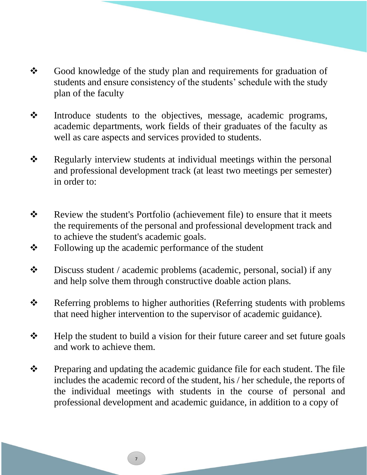- ❖ Good knowledge of the study plan and requirements for graduation of students and ensure consistency of the students' schedule with the study plan of the faculty
- ❖ Introduce students to the objectives, message, academic programs, academic departments, work fields of their graduates of the faculty as well as care aspects and services provided to students.
- ❖ Regularly interview students at individual meetings within the personal and professional development track (at least two meetings per semester) in order to:
- ❖ Review the student's Portfolio (achievement file) to ensure that it meets the requirements of the personal and professional development track and to achieve the student's academic goals.
- ❖ Following up the academic performance of the student
- ❖ Discuss student / academic problems (academic, personal, social) if any and help solve them through constructive doable action plans.
- ❖ Referring problems to higher authorities (Referring students with problems that need higher intervention to the supervisor of academic guidance).
- ❖ Help the student to build a vision for their future career and set future goals and work to achieve them.
- ❖ Preparing and updating the academic guidance file for each student. The file includes the academic record of the student, his / her schedule, the reports of the individual meetings with students in the course of personal and professional development and academic guidance, in addition to a copy of

7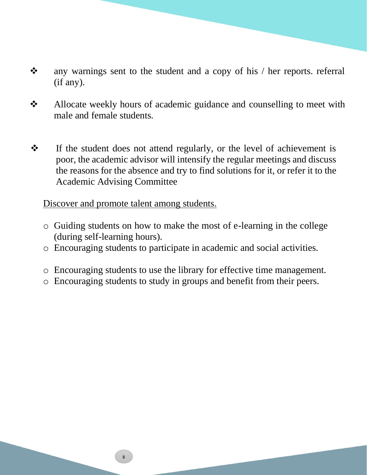- ❖ any warnings sent to the student and a copy of his / her reports. referral (if any).
- ❖ Allocate weekly hours of academic guidance and counselling to meet with male and female students.
- ❖ If the student does not attend regularly, or the level of achievement is poor, the academic advisor will intensify the regular meetings and discuss the reasons for the absence and try to find solutions for it, or refer it to the Academic Advising Committee

### Discover and promote talent among students.

- o Guiding students on how to make the most of e-learning in the college (during self-learning hours).
- o Encouraging students to participate in academic and social activities.
- o Encouraging students to use the library for effective time management.
- o Encouraging students to study in groups and benefit from their peers.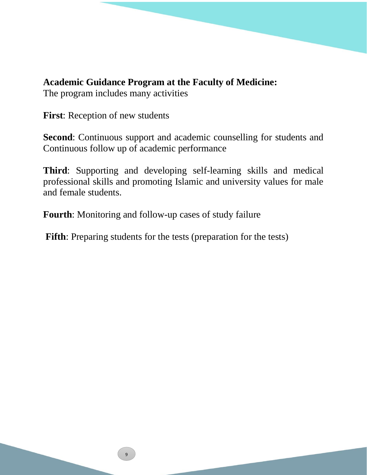## **Academic Guidance Program at the Faculty of Medicine:**

The program includes many activities

**First**: Reception of new students

**Second**: Continuous support and academic counselling for students and Continuous follow up of academic performance

**Third**: Supporting and developing self-learning skills and medical professional skills and promoting Islamic and university values for male and female students.

**Fourth**: Monitoring and follow-up cases of study failure

**Fifth**: Preparing students for the tests (preparation for the tests)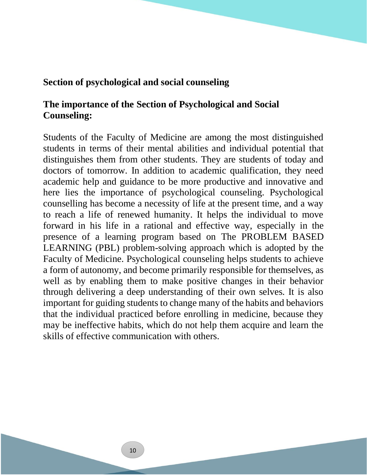#### **Section of psychological and social counseling**

## **The importance of the Section of Psychological and Social Counseling:**

Students of the Faculty of Medicine are among the most distinguished students in terms of their mental abilities and individual potential that distinguishes them from other students. They are students of today and doctors of tomorrow. In addition to academic qualification, they need academic help and guidance to be more productive and innovative and here lies the importance of psychological counseling. Psychological counselling has become a necessity of life at the present time, and a way to reach a life of renewed humanity. It helps the individual to move forward in his life in a rational and effective way, especially in the presence of a learning program based on The PROBLEM BASED LEARNING (PBL) problem-solving approach which is adopted by the Faculty of Medicine. Psychological counseling helps students to achieve a form of autonomy, and become primarily responsible for themselves, as well as by enabling them to make positive changes in their behavior through delivering a deep understanding of their own selves. It is also important for guiding students to change many of the habits and behaviors that the individual practiced before enrolling in medicine, because they may be ineffective habits, which do not help them acquire and learn the skills of effective communication with others.

الصفحة 100012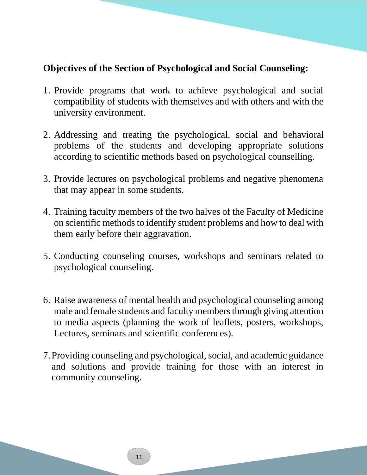## **Objectives of the Section of Psychological and Social Counseling:**

- 1. Provide programs that work to achieve psychological and social compatibility of students with themselves and with others and with the university environment.
- 2. Addressing and treating the psychological, social and behavioral problems of the students and developing appropriate solutions according to scientific methods based on psychological counselling.
- 3. Provide lectures on psychological problems and negative phenomena that may appear in some students.
- 4. Training faculty members of the two halves of the Faculty of Medicine on scientific methods to identify student problems and how to deal with them early before their aggravation.
- 5. Conducting counseling courses, workshops and seminars related to psychological counseling.
- 6. Raise awareness of mental health and psychological counseling among male and female students and faculty members through giving attention to media aspects (planning the work of leaflets, posters, workshops, Lectures, seminars and scientific conferences).
- 7.Providing counseling and psychological, social, and academic guidance and solutions and provide training for those with an interest in community counseling.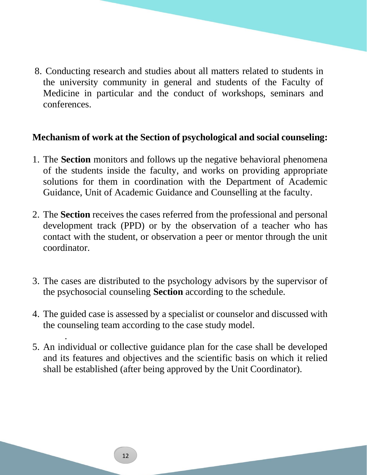8. Conducting research and studies about all matters related to students in the university community in general and students of the Faculty of Medicine in particular and the conduct of workshops, seminars and conferences.

## **Mechanism of work at the Section of psychological and social counseling:**

- 1. The **Section** monitors and follows up the negative behavioral phenomena of the students inside the faculty, and works on providing appropriate solutions for them in coordination with the Department of Academic Guidance, Unit of Academic Guidance and Counselling at the faculty.
- 2. The **Section** receives the cases referred from the professional and personal development track (PPD) or by the observation of a teacher who has contact with the student, or observation a peer or mentor through the unit coordinator.
- 3. The cases are distributed to the psychology advisors by the supervisor of the psychosocial counseling **Section** according to the schedule.
- 4. The guided case is assessed by a specialist or counselor and discussed with the counseling team according to the case study model.
- 5. An individual or collective guidance plan for the case shall be developed and its features and objectives and the scientific basis on which it relied shall be established (after being approved by the Unit Coordinator).

.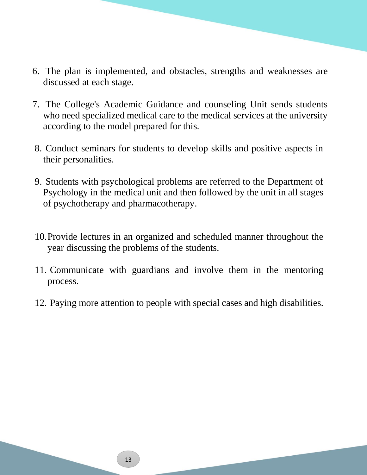- 6. The plan is implemented, and obstacles, strengths and weaknesses are discussed at each stage.
- 7. The College's Academic Guidance and counseling Unit sends students who need specialized medical care to the medical services at the university according to the model prepared for this.
- 8. Conduct seminars for students to develop skills and positive aspects in their personalities.
- 9. Students with psychological problems are referred to the Department of Psychology in the medical unit and then followed by the unit in all stages of psychotherapy and pharmacotherapy.
- 10.Provide lectures in an organized and scheduled manner throughout the year discussing the problems of the students.
- 11. Communicate with guardians and involve them in the mentoring process.
- 12. Paying more attention to people with special cases and high disabilities.